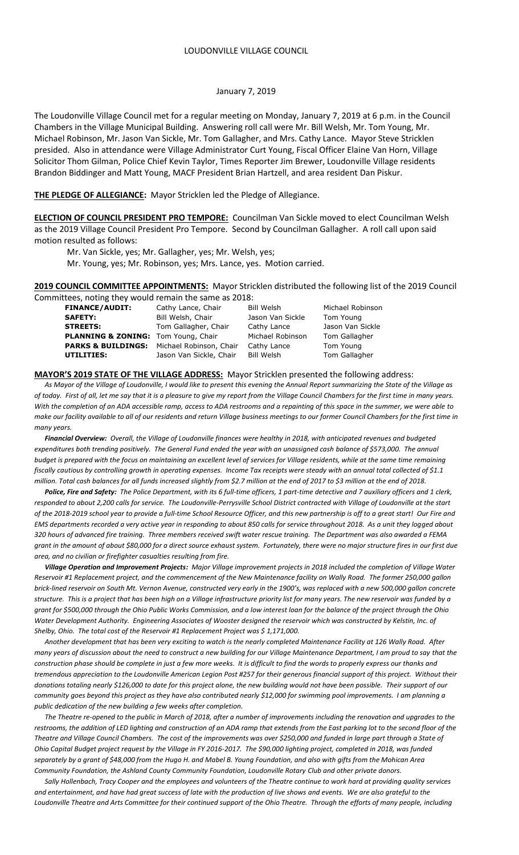The Loudonville Village Council met for a regular meeting on Monday, January 7, 2019 at 6 p.m. in the Council Chambers in the Village Municipal Building. Answering roll call were Mr. Bill Welsh, Mr. Tom Young, Mr. Michael Robinson, Mr. Jason Van Sickle, Mr. Tom Gallagher, and Mrs. Cathy Lance. Mayor Steve Stricklen presided. Also in attendance were Village Administrator Curt Young, Fiscal Officer Elaine Van Horn, Village Solicitor Thom Gilman, Police Chief Kevin Taylor, Times Reporter Jim Brewer, Loudonville Village residents Brandon Biddinger and Matt Young, MACF President Brian Hartzell, and area resident Dan Piskur.

#### **THE PLEDGE OF ALLEGIANCE:** Mayor Stricklen led the Pledge of Allegiance.

**ELECTION OF COUNCIL PRESIDENT PRO TEMPORE:** Councilman Van Sickle moved to elect Councilman Welsh as the 2019 Village Council President Pro Tempore. Second by Councilman Gallagher. A roll call upon said motion resulted as follows:

Mr. Van Sickle, yes; Mr. Gallagher, yes; Mr. Welsh, yes;

Mr. Young, yes; Mr. Robinson, yes; Mrs. Lance, yes. Motion carried.

**2019 COUNCIL COMMITTEE APPOINTMENTS:** Mayor Stricklen distributed the following list of the 2019 Council Committees, noting they would remain the same as 2018:

|  | <b>FINANCE/AUDIT:</b>               | Cathy Lance, Chair      | Bill Welsh       | Michael Robinson |
|--|-------------------------------------|-------------------------|------------------|------------------|
|  | <b>SAFETY:</b>                      | Bill Welsh, Chair       | Jason Van Sickle | Tom Young        |
|  | <b>STREETS:</b>                     | Tom Gallagher, Chair    | Cathy Lance      | Jason Van Sickle |
|  | PLANNING & ZONING: Tom Young, Chair |                         | Michael Robinson | Tom Gallagher    |
|  | <b>PARKS &amp; BUILDINGS:</b>       | Michael Robinson, Chair | Cathy Lance      | Tom Young        |
|  | UTILITIES:                          | Jason Van Sickle, Chair | Bill Welsh       | Tom Gallagher    |
|  |                                     |                         |                  |                  |

**MAYOR'S 2019 STATE OF THE VILLAGE ADDRESS:** Mayor Stricklen presented the following address:

 *As Mayor of the Village of Loudonville, I would like to present this evening the Annual Report summarizing the State of the Village as of today. First of all, let me say that it is a pleasure to give my report from the Village Council Chambers for the first time in many years. With the completion of an ADA accessible ramp, access to ADA restrooms and a repainting of this space in the summer, we were able to make our facility available to all of our residents and return Village business meetings to our former Council Chambers for the first time in many years.*

 *Financial Overview: Overall, the Village of Loudonville finances were healthy in 2018, with anticipated revenues and budgeted expenditures both trending positively. The General Fund ended the year with an unassigned cash balance of \$573,000. The annual budget is prepared with the focus on maintaining an excellent level of services for Village residents, while at the same time remaining fiscally cautious by controlling growth in operating expenses. Income Tax receipts were steady with an annual total collected of \$1.1 million. Total cash balances for all funds increased slightly from \$2.7 million at the end of 2017 to \$3 million at the end of 2018.*

 *Police, Fire and Safety: The Police Department, with its 6 full-time officers, 1 part-time detective and 7 auxiliary officers and 1 clerk, responded to about 2,200 calls for service. The Loudonville-Perrysville School District contracted with Village of Loudonville at the start of the 2018-2019 school year to provide a full-time School Resource Officer, and this new partnership is off to a great start! Our Fire and EMS departments recorded a very active year in responding to about 850 calls for service throughout 2018. As a unit they logged about 320 hours of advanced fire training. Three members received swift water rescue training. The Department was also awarded a FEMA grant in the amount of about \$80,000 for a direct source exhaust system. Fortunately, there were no major structure fires in our first due area, and no civilian or firefighter casualties resulting from fire.*

 *Village Operation and Improvement Projects: Major Village improvement projects in 2018 included the completion of Village Water Reservoir #1 Replacement project, and the commencement of the New Maintenance facility on Wally Road. The former 250,000 gallon brick-lined reservoir on South Mt. Vernon Avenue, constructed very early in the 1900's, was replaced with a new 500,000 gallon concrete structure. This is a project that has been high on a Village infrastructure priority list for many years. The new reservoir was funded by a grant for \$500,000 through the Ohio Public Works Commission, and a low interest loan for the balance of the project through the Ohio Water Development Authority. Engineering Associates of Wooster designed the reservoir which was constructed by Kelstin, Inc. of Shelby, Ohio. The total cost of the Reservoir #1 Replacement Project was \$ 1,171,000.*

 *Another development that has been very exciting to watch is the nearly completed Maintenance Facility at 126 Wally Road. After many years of discussion about the need to construct a new building for our Village Maintenance Department, I am proud to say that the construction phase should be complete in just a few more weeks. It is difficult to find the words to properly express our thanks and tremendous appreciation to the Loudonville American Legion Post #257 for their generous financial support of this project. Without their donations totaling nearly \$126,000 to date for this project alone, the new building would not have been possible. Their support of our community goes beyond this project as they have also contributed nearly \$12,000 for swimming pool improvements. I am planning a public dedication of the new building a few weeks after completion.*

 *The Theatre re-opened to the public in March of 2018, after a number of improvements including the renovation and upgrades to the restrooms, the addition of LED lighting and construction of an ADA ramp that extends from the East parking lot to the second floor of the Theatre and Village Council Chambers. The cost of the improvements was over \$250,000 and funded in large part through a State of Ohio Capital Budget project request by the Village in FY 2016-2017. The \$90,000 lighting project, completed in 2018, was funded separately by a grant of \$48,000 from the Hugo H. and Mabel B. Young Foundation, and also with gifts from the Mohican Area Community Foundation, the Ashland County Community Foundation, Loudonville Rotary Club and other private donors.*

 *Sally Hollenbach, Tracy Cooper and the employees and volunteers of the Theatre continue to work hard at providing quality services and entertainment, and have had great success of late with the production of live shows and events. We are also grateful to the Loudonville Theatre and Arts Committee for their continued support of the Ohio Theatre. Through the efforts of many people, including*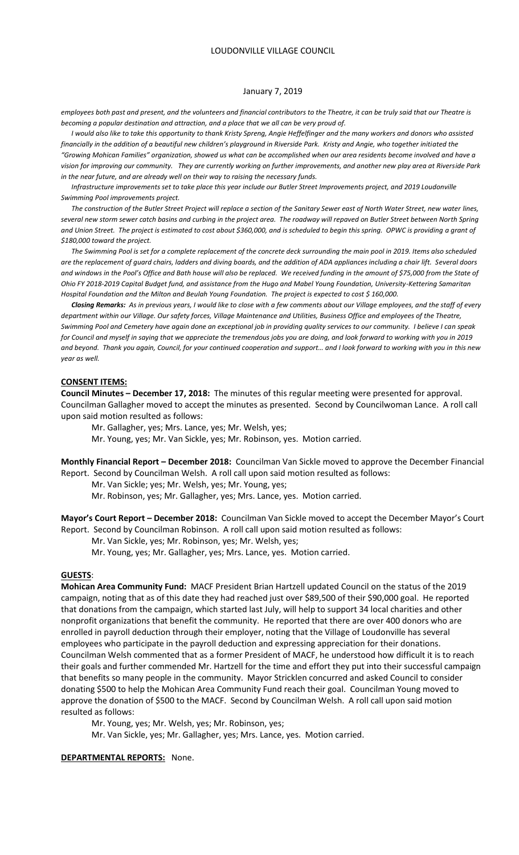*employees both past and present, and the volunteers and financial contributors to the Theatre, it can be truly said that our Theatre is becoming a popular destination and attraction, and a place that we all can be very proud of.*

 *I would also like to take this opportunity to thank Kristy Spreng, Angie Heffelfinger and the many workers and donors who assisted financially in the addition of a beautiful new children's playground in Riverside Park. Kristy and Angie, who together initiated the "Growing Mohican Families" organization, showed us what can be accomplished when our area residents become involved and have a vision for improving our community. They are currently working on further improvements, and another new play area at Riverside Park in the near future, and are already well on their way to raising the necessary funds.* 

 *Infrastructure improvements set to take place this year include our Butler Street Improvements project, and 2019 Loudonville Swimming Pool improvements project.* 

 *The construction of the Butler Street Project will replace a section of the Sanitary Sewer east of North Water Street, new water lines, several new storm sewer catch basins and curbing in the project area. The roadway will repaved on Butler Street between North Spring and Union Street. The project is estimated to cost about \$360,000, and is scheduled to begin this spring. OPWC is providing a grant of \$180,000 toward the project.*

 *The Swimming Pool is set for a complete replacement of the concrete deck surrounding the main pool in 2019. Items also scheduled are the replacement of guard chairs, ladders and diving boards, and the addition of ADA appliances including a chair lift. Several doors and windows in the Pool's Office and Bath house will also be replaced. We received funding in the amount of \$75,000 from the State of Ohio FY 2018-2019 Capital Budget fund, and assistance from the Hugo and Mabel Young Foundation, University-Kettering Samaritan Hospital Foundation and the Milton and Beulah Young Foundation. The project is expected to cost \$ 160,000.*

 *Closing Remarks: As in previous years, I would like to close with a few comments about our Village employees, and the staff of every department within our Village. Our safety forces, Village Maintenance and Utilities, Business Office and employees of the Theatre, Swimming Pool and Cemetery have again done an exceptional job in providing quality services to our community. I believe I can speak for Council and myself in saying that we appreciate the tremendous jobs you are doing, and look forward to working with you in 2019*  and beyond. Thank you again, Council, for your continued cooperation and support... and I look forward to working with you in this new *year as well.*

### **CONSENT ITEMS:**

**Council Minutes – December 17, 2018:** The minutes of this regular meeting were presented for approval. Councilman Gallagher moved to accept the minutes as presented. Second by Councilwoman Lance. A roll call upon said motion resulted as follows:

Mr. Gallagher, yes; Mrs. Lance, yes; Mr. Welsh, yes;

Mr. Young, yes; Mr. Van Sickle, yes; Mr. Robinson, yes. Motion carried.

**Monthly Financial Report – December 2018:** Councilman Van Sickle moved to approve the December Financial Report. Second by Councilman Welsh. A roll call upon said motion resulted as follows:

Mr. Van Sickle; yes; Mr. Welsh, yes; Mr. Young, yes;

Mr. Robinson, yes; Mr. Gallagher, yes; Mrs. Lance, yes. Motion carried.

**Mayor's Court Report – December 2018:** Councilman Van Sickle moved to accept the December Mayor's Court Report. Second by Councilman Robinson. A roll call upon said motion resulted as follows:

Mr. Van Sickle, yes; Mr. Robinson, yes; Mr. Welsh, yes;

Mr. Young, yes; Mr. Gallagher, yes; Mrs. Lance, yes. Motion carried.

### **GUESTS**:

**Mohican Area Community Fund:** MACF President Brian Hartzell updated Council on the status of the 2019 campaign, noting that as of this date they had reached just over \$89,500 of their \$90,000 goal. He reported that donations from the campaign, which started last July, will help to support 34 local charities and other nonprofit organizations that benefit the community. He reported that there are over 400 donors who are enrolled in payroll deduction through their employer, noting that the Village of Loudonville has several employees who participate in the payroll deduction and expressing appreciation for their donations. Councilman Welsh commented that as a former President of MACF, he understood how difficult it is to reach their goals and further commended Mr. Hartzell for the time and effort they put into their successful campaign that benefits so many people in the community. Mayor Stricklen concurred and asked Council to consider donating \$500 to help the Mohican Area Community Fund reach their goal. Councilman Young moved to approve the donation of \$500 to the MACF. Second by Councilman Welsh. A roll call upon said motion resulted as follows:

Mr. Young, yes; Mr. Welsh, yes; Mr. Robinson, yes;

Mr. Van Sickle, yes; Mr. Gallagher, yes; Mrs. Lance, yes. Motion carried.

#### **DEPARTMENTAL REPORTS:** None.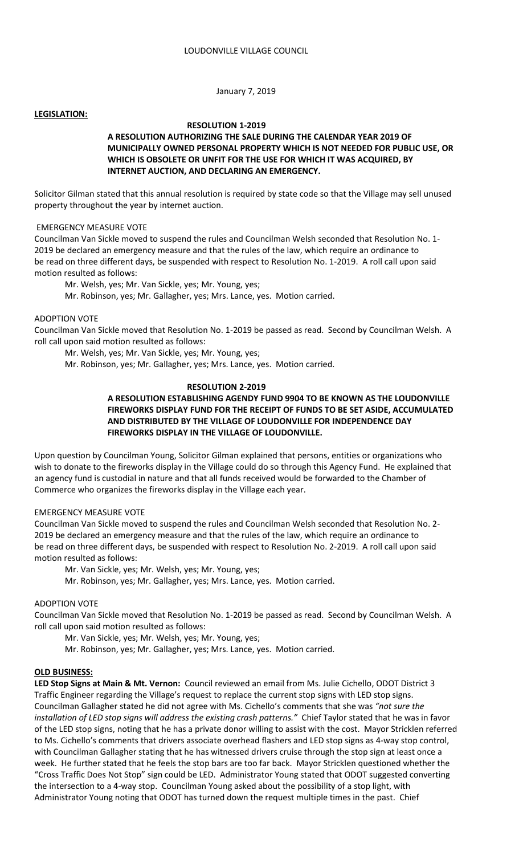## **LEGISLATION:**

# **RESOLUTION 1-2019**

# **A RESOLUTION AUTHORIZING THE SALE DURING THE CALENDAR YEAR 2019 OF MUNICIPALLY OWNED PERSONAL PROPERTY WHICH IS NOT NEEDED FOR PUBLIC USE, OR WHICH IS OBSOLETE OR UNFIT FOR THE USE FOR WHICH IT WAS ACQUIRED, BY INTERNET AUCTION, AND DECLARING AN EMERGENCY.**

Solicitor Gilman stated that this annual resolution is required by state code so that the Village may sell unused property throughout the year by internet auction.

## EMERGENCY MEASURE VOTE

Councilman Van Sickle moved to suspend the rules and Councilman Welsh seconded that Resolution No. 1- 2019 be declared an emergency measure and that the rules of the law, which require an ordinance to be read on three different days, be suspended with respect to Resolution No. 1-2019. A roll call upon said motion resulted as follows:

Mr. Welsh, yes; Mr. Van Sickle, yes; Mr. Young, yes;

Mr. Robinson, yes; Mr. Gallagher, yes; Mrs. Lance, yes. Motion carried.

## ADOPTION VOTE

Councilman Van Sickle moved that Resolution No. 1-2019 be passed as read. Second by Councilman Welsh. A roll call upon said motion resulted as follows:

Mr. Welsh, yes; Mr. Van Sickle, yes; Mr. Young, yes;

Mr. Robinson, yes; Mr. Gallagher, yes; Mrs. Lance, yes. Motion carried.

# **RESOLUTION 2-2019**

# **A RESOLUTION ESTABLISHING AGENDY FUND 9904 TO BE KNOWN AS THE LOUDONVILLE FIREWORKS DISPLAY FUND FOR THE RECEIPT OF FUNDS TO BE SET ASIDE, ACCUMULATED AND DISTRIBUTED BY THE VILLAGE OF LOUDONVILLE FOR INDEPENDENCE DAY FIREWORKS DISPLAY IN THE VILLAGE OF LOUDONVILLE.**

Upon question by Councilman Young, Solicitor Gilman explained that persons, entities or organizations who wish to donate to the fireworks display in the Village could do so through this Agency Fund. He explained that an agency fund is custodial in nature and that all funds received would be forwarded to the Chamber of Commerce who organizes the fireworks display in the Village each year.

#### EMERGENCY MEASURE VOTE

Councilman Van Sickle moved to suspend the rules and Councilman Welsh seconded that Resolution No. 2- 2019 be declared an emergency measure and that the rules of the law, which require an ordinance to be read on three different days, be suspended with respect to Resolution No. 2-2019. A roll call upon said motion resulted as follows:

Mr. Van Sickle, yes; Mr. Welsh, yes; Mr. Young, yes;

Mr. Robinson, yes; Mr. Gallagher, yes; Mrs. Lance, yes. Motion carried.

#### ADOPTION VOTE

Councilman Van Sickle moved that Resolution No. 1-2019 be passed as read. Second by Councilman Welsh. A roll call upon said motion resulted as follows:

Mr. Van Sickle, yes; Mr. Welsh, yes; Mr. Young, yes;

Mr. Robinson, yes; Mr. Gallagher, yes; Mrs. Lance, yes. Motion carried.

#### **OLD BUSINESS:**

**LED Stop Signs at Main & Mt. Vernon:** Council reviewed an email from Ms. Julie Cichello, ODOT District 3 Traffic Engineer regarding the Village's request to replace the current stop signs with LED stop signs. Councilman Gallagher stated he did not agree with Ms. Cichello's comments that she was *"not sure the installation of LED stop signs will address the existing crash patterns."* Chief Taylor stated that he was in favor of the LED stop signs, noting that he has a private donor willing to assist with the cost. Mayor Stricklen referred to Ms. Cichello's comments that drivers associate overhead flashers and LED stop signs as 4-way stop control, with Councilman Gallagher stating that he has witnessed drivers cruise through the stop sign at least once a week. He further stated that he feels the stop bars are too far back. Mayor Stricklen questioned whether the "Cross Traffic Does Not Stop" sign could be LED. Administrator Young stated that ODOT suggested converting the intersection to a 4-way stop. Councilman Young asked about the possibility of a stop light, with Administrator Young noting that ODOT has turned down the request multiple times in the past. Chief